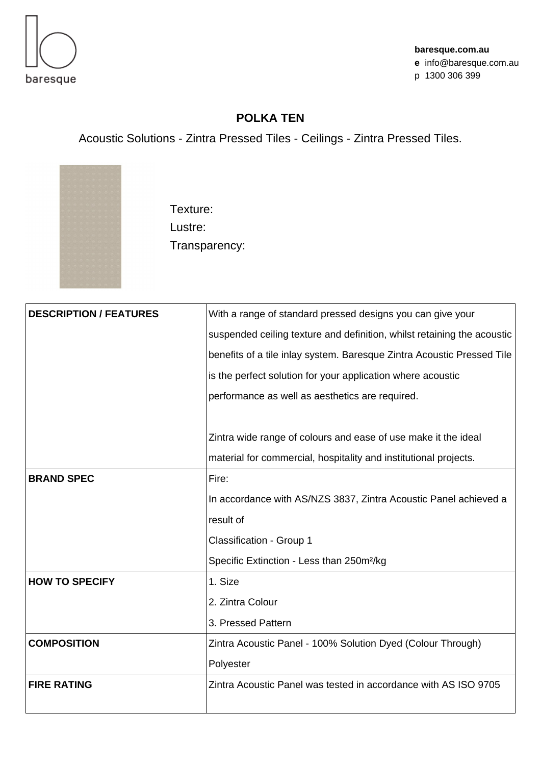

## **POLKA TEN**

Acoustic Solutions - Zintra Pressed Tiles - Ceilings - Zintra Pressed Tiles.



Texture: Lustre: Transparency:

| <b>DESCRIPTION / FEATURES</b> | With a range of standard pressed designs you can give your              |
|-------------------------------|-------------------------------------------------------------------------|
|                               | suspended ceiling texture and definition, whilst retaining the acoustic |
|                               | benefits of a tile inlay system. Baresque Zintra Acoustic Pressed Tile  |
|                               | is the perfect solution for your application where acoustic             |
|                               | performance as well as aesthetics are required.                         |
|                               |                                                                         |
|                               | Zintra wide range of colours and ease of use make it the ideal          |
|                               | material for commercial, hospitality and institutional projects.        |
| <b>BRAND SPEC</b>             | Fire:                                                                   |
|                               | In accordance with AS/NZS 3837, Zintra Acoustic Panel achieved a        |
|                               | result of                                                               |
|                               | Classification - Group 1                                                |
|                               | Specific Extinction - Less than 250m <sup>2</sup> /kg                   |
| <b>HOW TO SPECIFY</b>         | 1. Size                                                                 |
|                               | 2. Zintra Colour                                                        |
|                               | 3. Pressed Pattern                                                      |
| <b>COMPOSITION</b>            | Zintra Acoustic Panel - 100% Solution Dyed (Colour Through)             |
|                               | Polyester                                                               |
| <b>FIRE RATING</b>            | Zintra Acoustic Panel was tested in accordance with AS ISO 9705         |
|                               |                                                                         |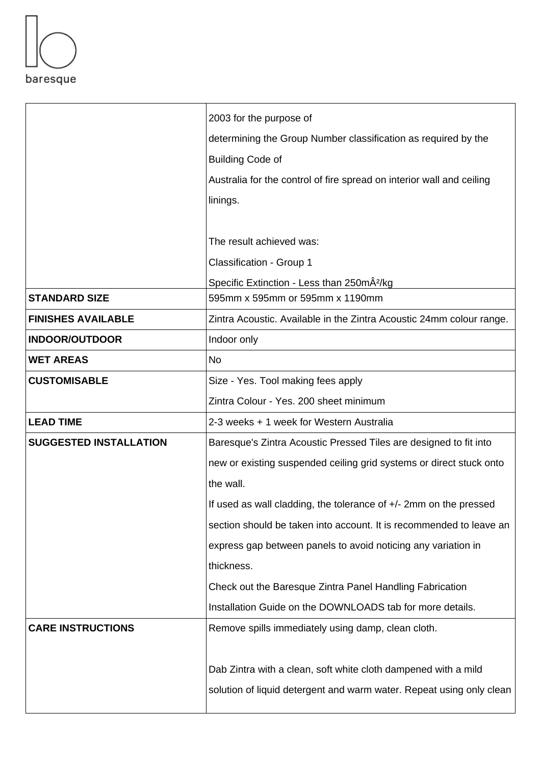

|                               | 2003 for the purpose of                                               |
|-------------------------------|-----------------------------------------------------------------------|
|                               | determining the Group Number classification as required by the        |
|                               | <b>Building Code of</b>                                               |
|                               | Australia for the control of fire spread on interior wall and ceiling |
|                               | linings.                                                              |
|                               |                                                                       |
|                               | The result achieved was:                                              |
|                               | Classification - Group 1                                              |
|                               | Specific Extinction - Less than 250mÂ <sup>2</sup> /kg                |
| <b>STANDARD SIZE</b>          | 595mm x 595mm or 595mm x 1190mm                                       |
| <b>FINISHES AVAILABLE</b>     | Zintra Acoustic. Available in the Zintra Acoustic 24mm colour range.  |
| <b>INDOOR/OUTDOOR</b>         | Indoor only                                                           |
| <b>WET AREAS</b>              | <b>No</b>                                                             |
| <b>CUSTOMISABLE</b>           | Size - Yes. Tool making fees apply                                    |
|                               | Zintra Colour - Yes. 200 sheet minimum                                |
| <b>LEAD TIME</b>              | 2-3 weeks + 1 week for Western Australia                              |
| <b>SUGGESTED INSTALLATION</b> | Baresque's Zintra Acoustic Pressed Tiles are designed to fit into     |
|                               | new or existing suspended ceiling grid systems or direct stuck onto   |
|                               | the wall.                                                             |
|                               | If used as wall cladding, the tolerance of +/- 2mm on the pressed     |
|                               | section should be taken into account. It is recommended to leave an   |
|                               | express gap between panels to avoid noticing any variation in         |
|                               | thickness.                                                            |
|                               | Check out the Baresque Zintra Panel Handling Fabrication              |
|                               | Installation Guide on the DOWNLOADS tab for more details.             |
| <b>CARE INSTRUCTIONS</b>      | Remove spills immediately using damp, clean cloth.                    |
|                               |                                                                       |
|                               | Dab Zintra with a clean, soft white cloth dampened with a mild        |
|                               | solution of liquid detergent and warm water. Repeat using only clean  |
|                               |                                                                       |